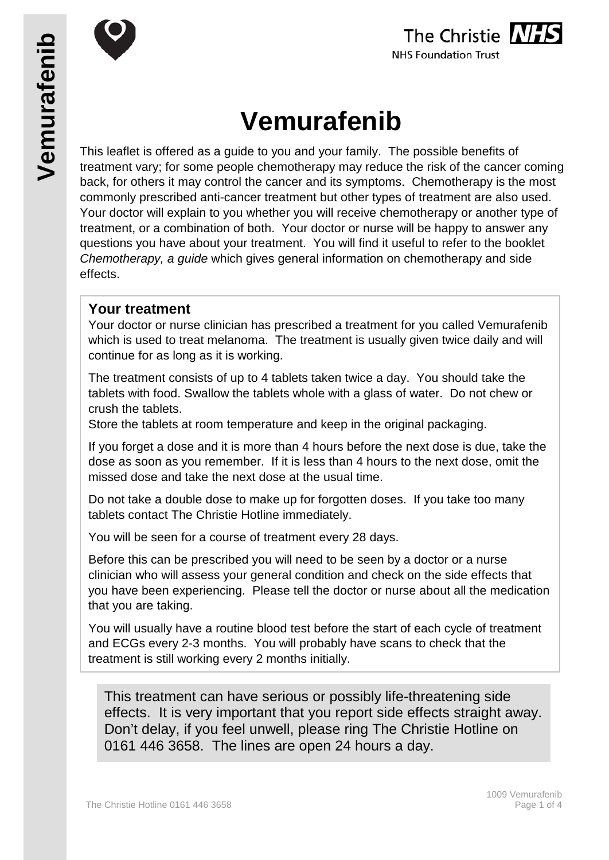



# **Vemurafenib**

This leaflet is offered as a guide to you and your family. The possible benefits of treatment vary; for some people chemotherapy may reduce the risk of the cancer coming back, for others it may control the cancer and its symptoms. Chemotherapy is the most commonly prescribed anti-cancer treatment but other types of treatment are also used. Your doctor will explain to you whether you will receive chemotherapy or another type of treatment, or a combination of both. Your doctor or nurse will be happy to answer any questions you have about your treatment. You will find it useful to refer to the booklet *Chemotherapy, a guide* which gives general information on chemotherapy and side effects.

### **Your treatment**

Your doctor or nurse clinician has prescribed a treatment for you called Vemurafenib which is used to treat melanoma. The treatment is usually given twice daily and will continue for as long as it is working.

The treatment consists of up to 4 tablets taken twice a day. You should take the tablets with food. Swallow the tablets whole with a glass of water. Do not chew or crush the tablets.

Store the tablets at room temperature and keep in the original packaging.

If you forget a dose and it is more than 4 hours before the next dose is due, take the dose as soon as you remember. If it is less than 4 hours to the next dose, omit the missed dose and take the next dose at the usual time.

Do not take a double dose to make up for forgotten doses. If you take too many tablets contact The Christie Hotline immediately.

You will be seen for a course of treatment every 28 days.

Before this can be prescribed you will need to be seen by a doctor or a nurse clinician who will assess your general condition and check on the side effects that you have been experiencing. Please tell the doctor or nurse about all the medication that you are taking.

You will usually have a routine blood test before the start of each cycle of treatment and ECGs every 2-3 months. You will probably have scans to check that the treatment is still working every 2 months initially.

This treatment can have serious or possibly life-threatening side effects. It is very important that you report side effects straight away. Don't delay, if you feel unwell, please ring The Christie Hotline on 0161 446 3658. The lines are open 24 hours a day.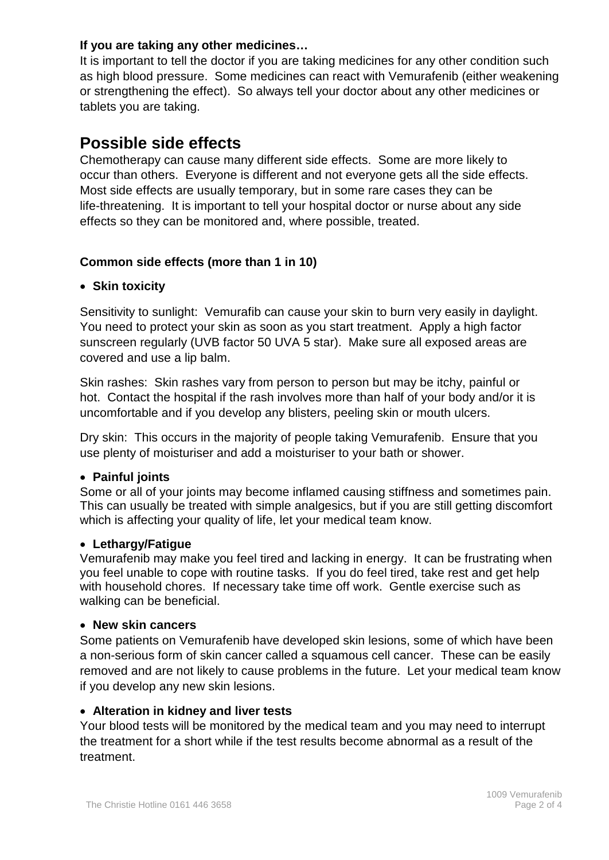#### **If you are taking any other medicines…**

It is important to tell the doctor if you are taking medicines for any other condition such as high blood pressure. Some medicines can react with Vemurafenib (either weakening or strengthening the effect). So always tell your doctor about any other medicines or tablets you are taking.

# **Possible side effects**

Chemotherapy can cause many different side effects. Some are more likely to occur than others. Everyone is different and not everyone gets all the side effects. Most side effects are usually temporary, but in some rare cases they can be life-threatening. It is important to tell your hospital doctor or nurse about any side effects so they can be monitored and, where possible, treated.

#### **Common side effects (more than 1 in 10)**

#### • **Skin toxicity**

Sensitivity to sunlight: Vemurafib can cause your skin to burn very easily in daylight. You need to protect your skin as soon as you start treatment. Apply a high factor sunscreen regularly (UVB factor 50 UVA 5 star). Make sure all exposed areas are covered and use a lip balm.

Skin rashes: Skin rashes vary from person to person but may be itchy, painful or hot. Contact the hospital if the rash involves more than half of your body and/or it is uncomfortable and if you develop any blisters, peeling skin or mouth ulcers.

Dry skin: This occurs in the majority of people taking Vemurafenib. Ensure that you use plenty of moisturiser and add a moisturiser to your bath or shower.

#### • **Painful joints**

Some or all of your joints may become inflamed causing stiffness and sometimes pain. This can usually be treated with simple analgesics, but if you are still getting discomfort which is affecting your quality of life, let your medical team know.

#### • **Lethargy/Fatigue**

Vemurafenib may make you feel tired and lacking in energy. It can be frustrating when you feel unable to cope with routine tasks. If you do feel tired, take rest and get help with household chores. If necessary take time off work. Gentle exercise such as walking can be beneficial.

#### • **New skin cancers**

Some patients on Vemurafenib have developed skin lesions, some of which have been a non-serious form of skin cancer called a squamous cell cancer. These can be easily removed and are not likely to cause problems in the future. Let your medical team know if you develop any new skin lesions.

#### • **Alteration in kidney and liver tests**

Your blood tests will be monitored by the medical team and you may need to interrupt the treatment for a short while if the test results become abnormal as a result of the treatment.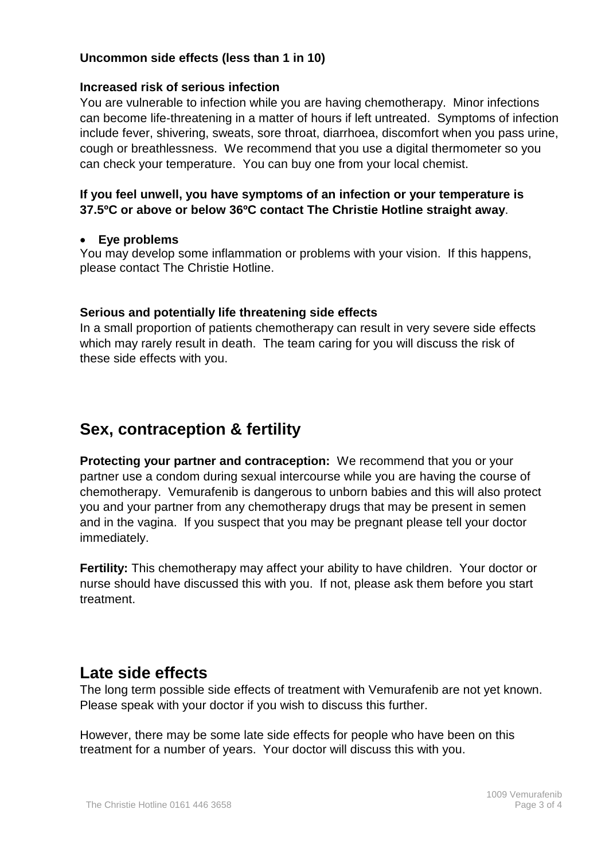#### **Uncommon side effects (less than 1 in 10)**

#### **Increased risk of serious infection**

You are vulnerable to infection while you are having chemotherapy. Minor infections can become life-threatening in a matter of hours if left untreated. Symptoms of infection include fever, shivering, sweats, sore throat, diarrhoea, discomfort when you pass urine, cough or breathlessness. We recommend that you use a digital thermometer so you can check your temperature. You can buy one from your local chemist.

#### **If you feel unwell, you have symptoms of an infection or your temperature is 37.5ºC or above or below 36ºC contact The Christie Hotline straight away**.

#### • **Eye problems**

You may develop some inflammation or problems with your vision. If this happens, please contact The Christie Hotline.

#### **Serious and potentially life threatening side effects**

In a small proportion of patients chemotherapy can result in very severe side effects which may rarely result in death. The team caring for you will discuss the risk of these side effects with you.

# **Sex, contraception & fertility**

**Protecting your partner and contraception:** We recommend that you or your partner use a condom during sexual intercourse while you are having the course of chemotherapy. Vemurafenib is dangerous to unborn babies and this will also protect you and your partner from any chemotherapy drugs that may be present in semen and in the vagina. If you suspect that you may be pregnant please tell your doctor immediately.

**Fertility:** This chemotherapy may affect your ability to have children. Your doctor or nurse should have discussed this with you. If not, please ask them before you start treatment.

## **Late side effects**

The long term possible side effects of treatment with Vemurafenib are not yet known. Please speak with your doctor if you wish to discuss this further.

However, there may be some late side effects for people who have been on this treatment for a number of years. Your doctor will discuss this with you.